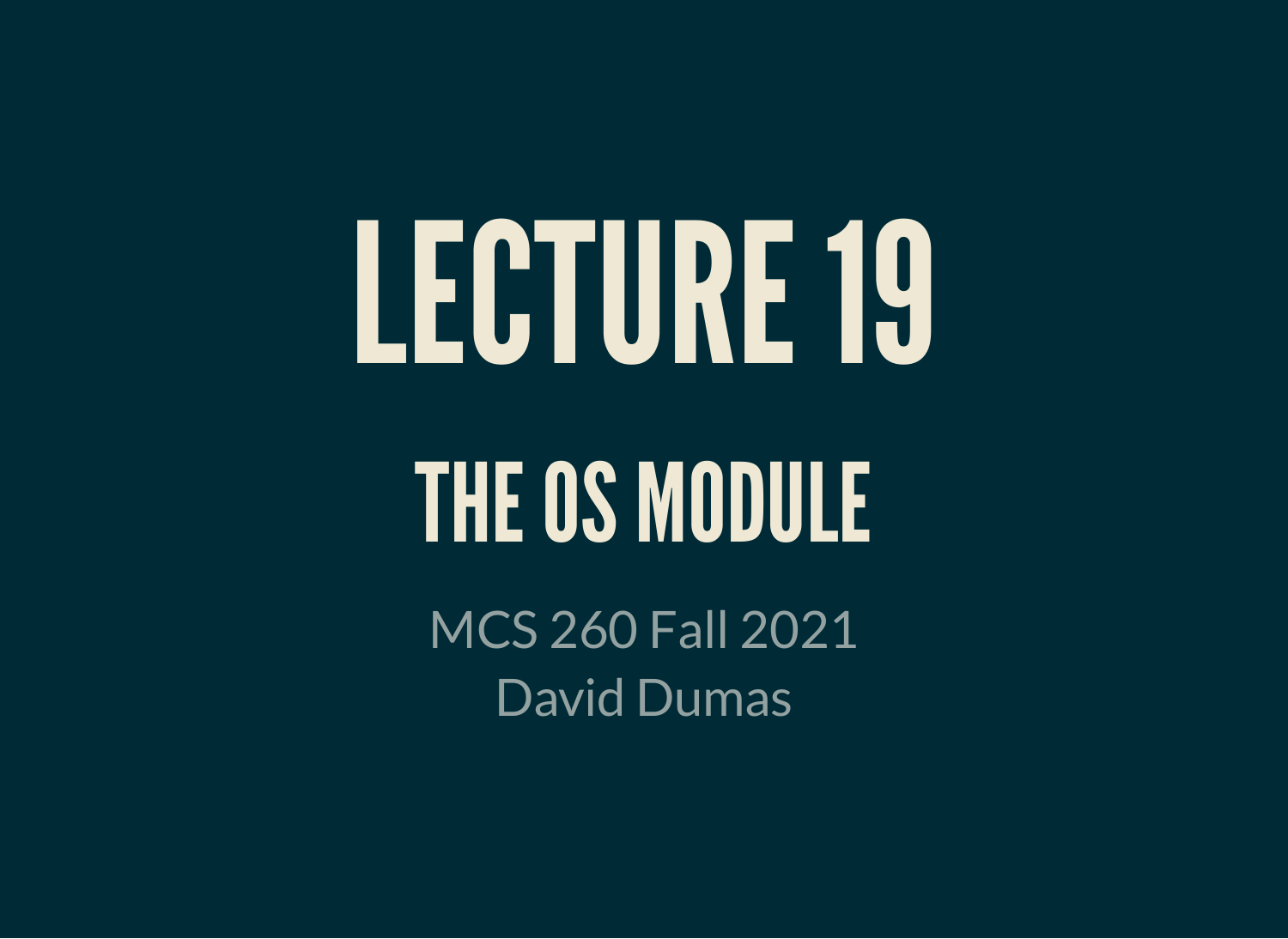# LECTURE19 THE OS MODULE

MCS 260 Fall 2021 David Dumas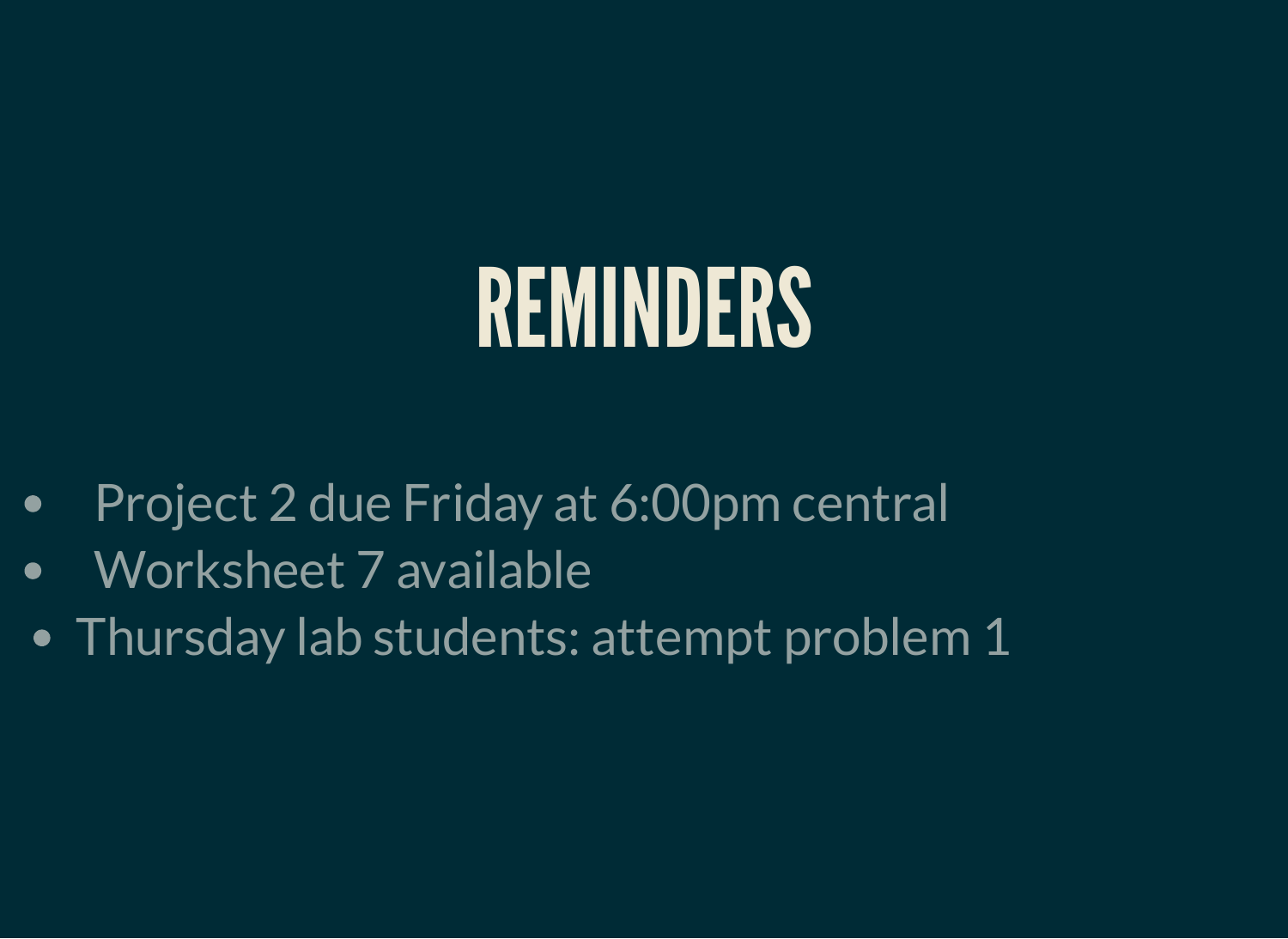#### REMINDERS

- Project 2 due Friday at 6:00pm central  $\bullet$
- Worksheet 7 available  $\bullet$
- Thursday lab students: attempt problem 1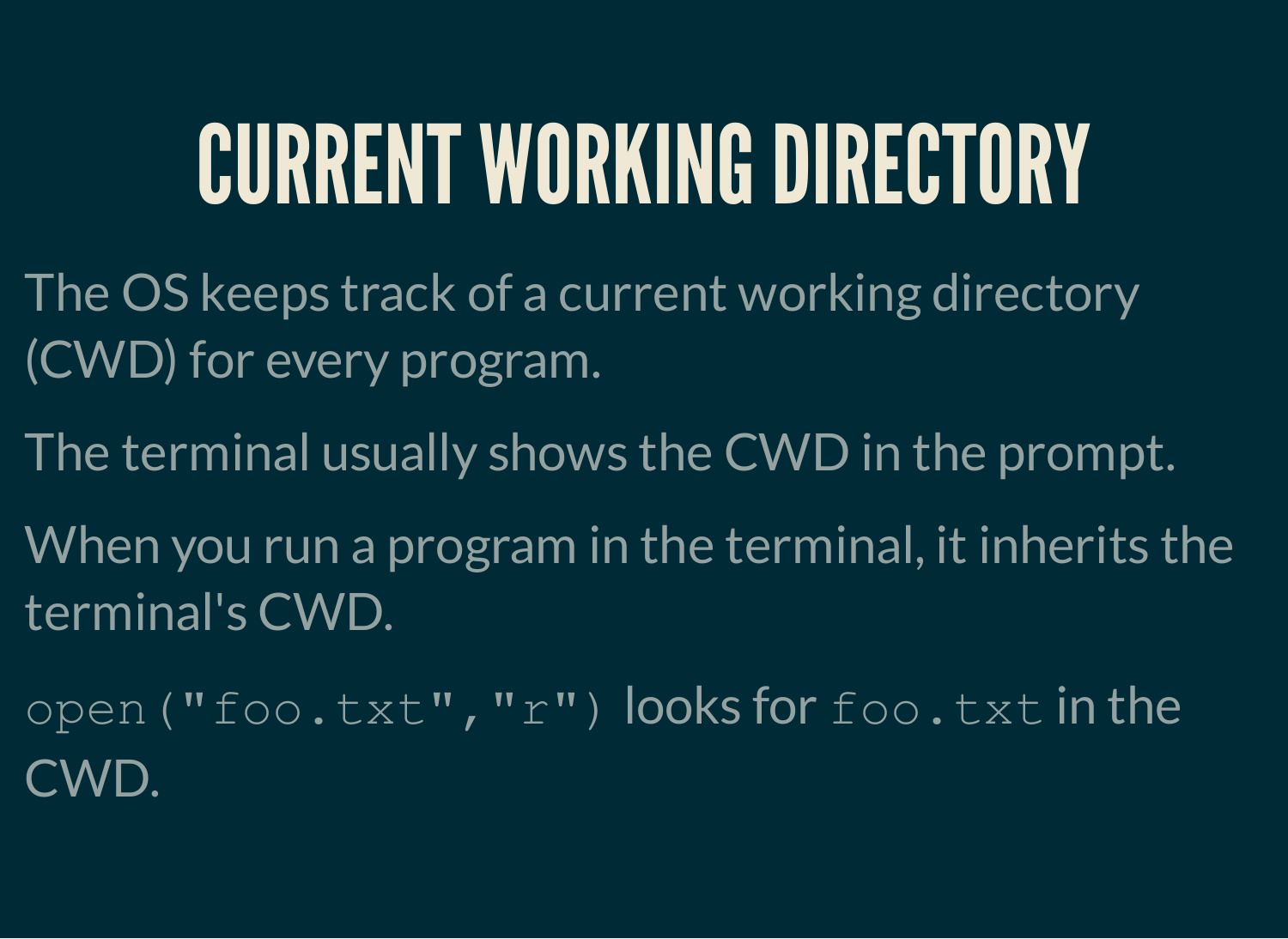### CURRENT WORKING DIRECTORY

- The OS keeps track of a current working directory (CWD) for every program.
- The terminal usually shows the CWD in the prompt.
- When you run a program in the terminal, it inherits the terminal's CWD.
- open("foo.txt","r") looks for foo.txt in the CWD.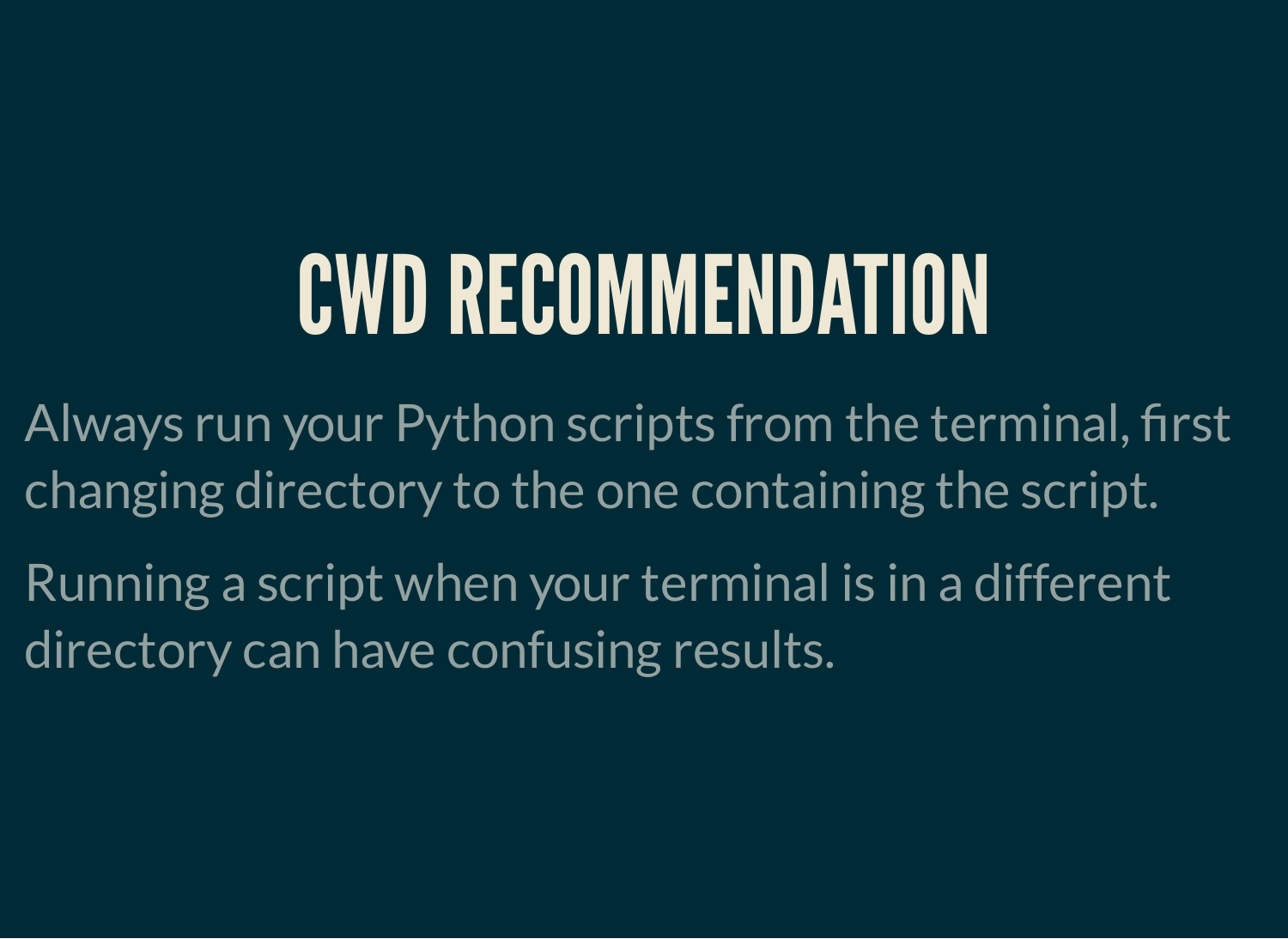### CWDRECOMMENDATION

Always run your Python scripts from the terminal, first changing directory to the one containing the script.

Running a script when your terminal is in a different directory can have confusing results.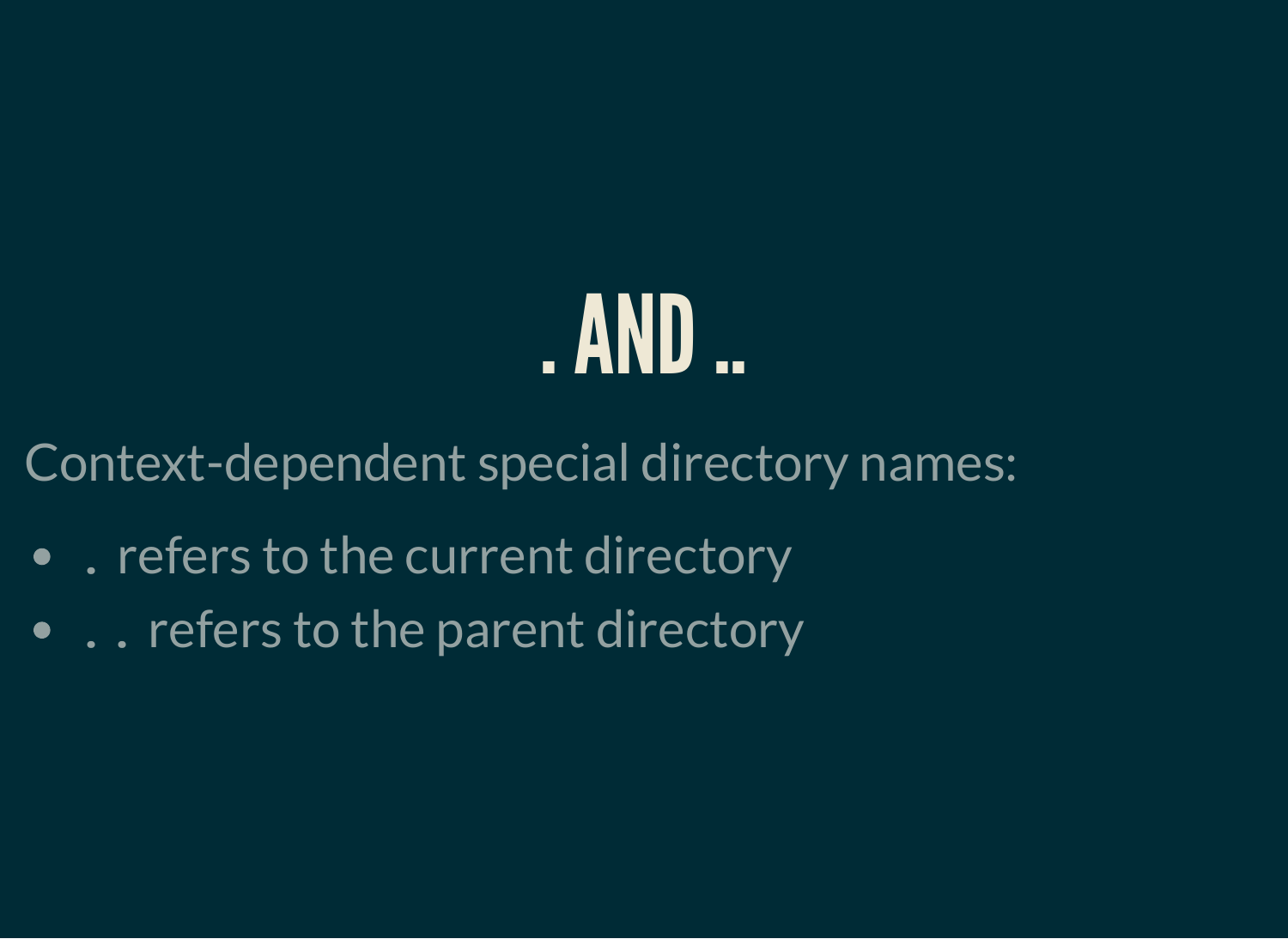### . AND

Context-dependent special directory names:

- . refers to the current directory
- . . refers to the parent directory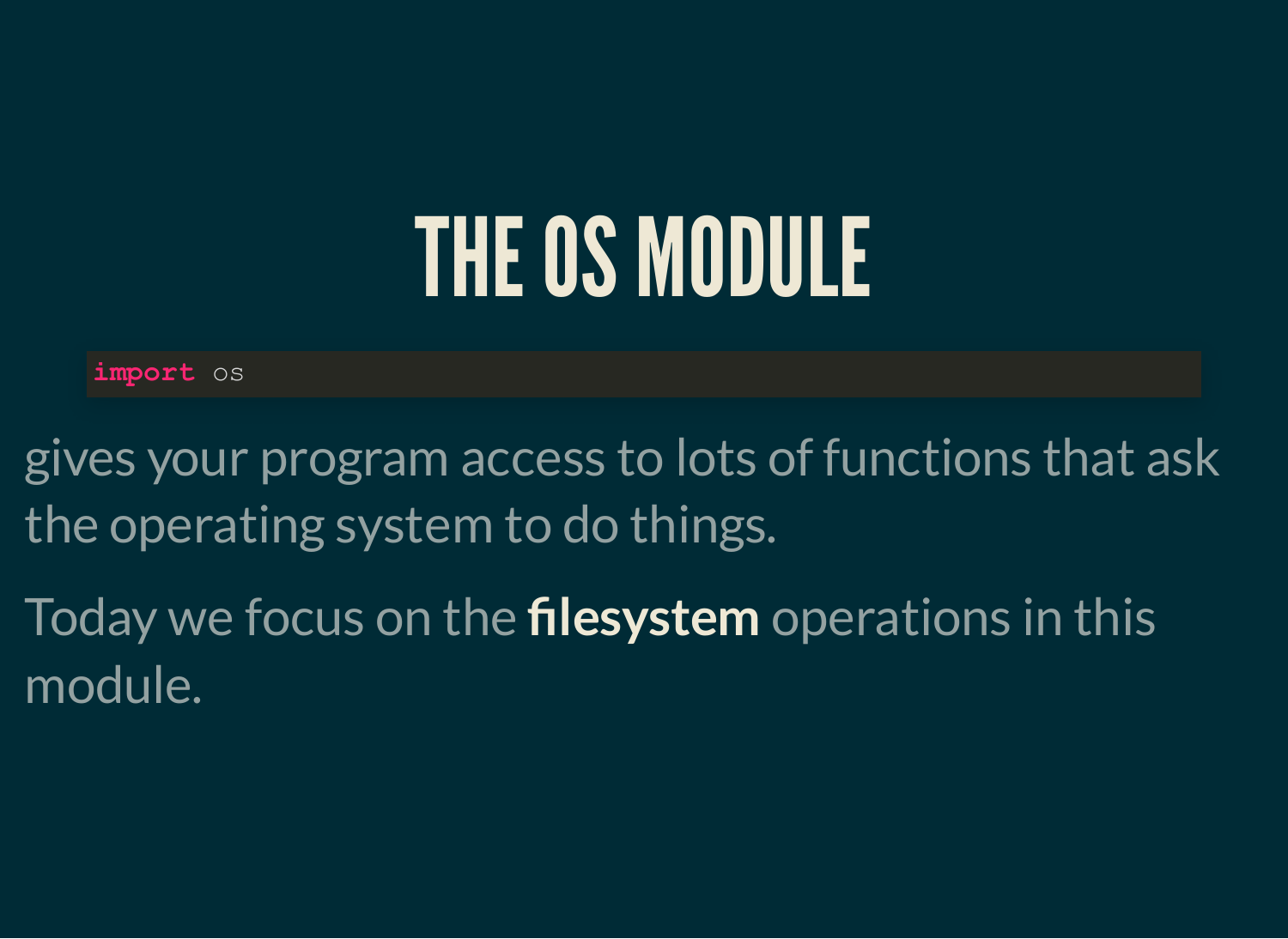### THEOS MODULE

**import** os

gives your program access to lots of functions that ask the operating system to do things.

Today we focus on the **filesystem** operations in this module.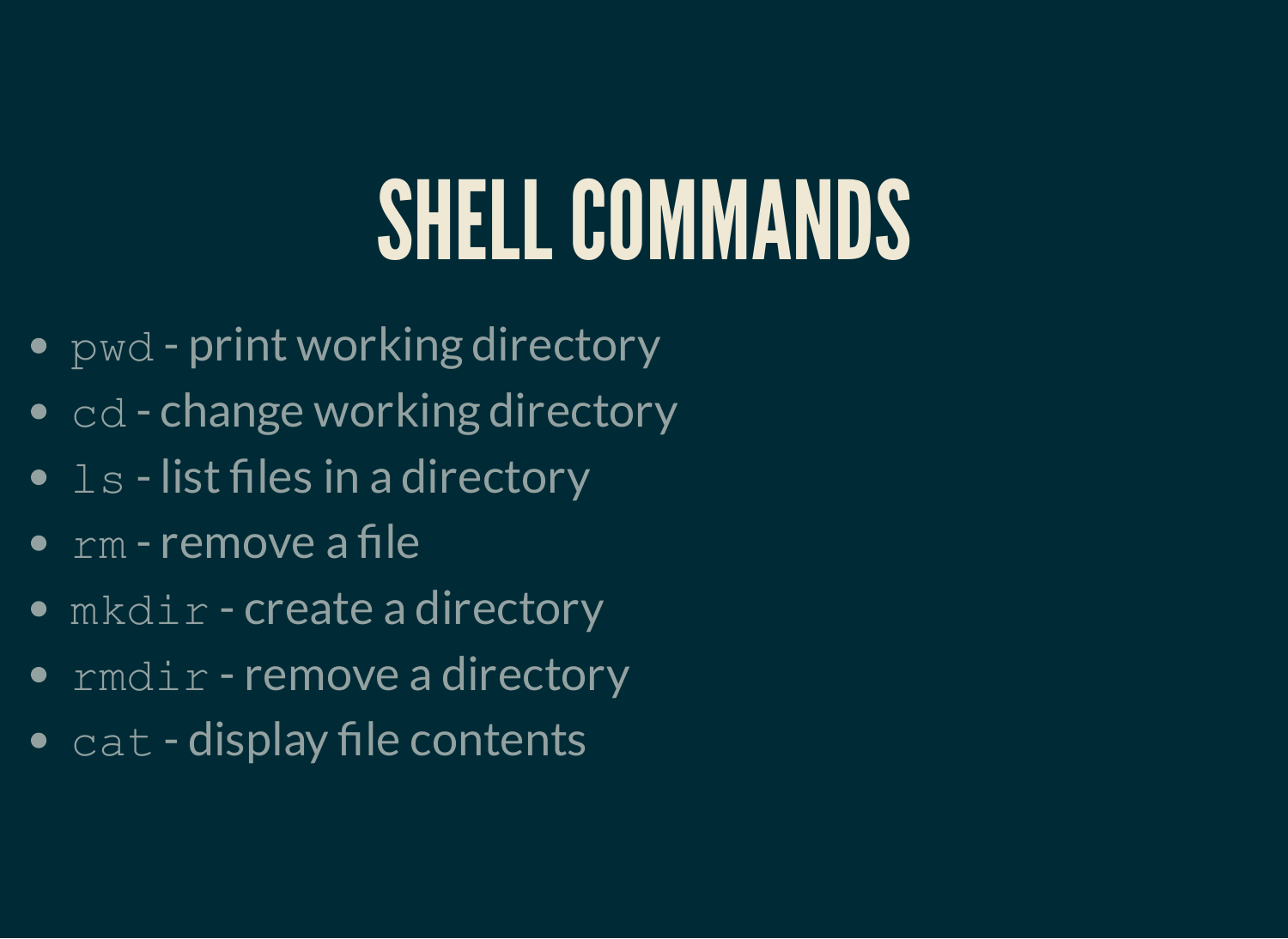### SHELL COMMANDS

- $pwd$  print working directory
- $\bullet$  cd change working directory
- $\bullet$  1s list files in a directory
- $\overline{\bullet}$  rm remove a file
- mkdir create a directory
- $\bullet$  rmdir remove a directory
- $\bullet$  cat display file contents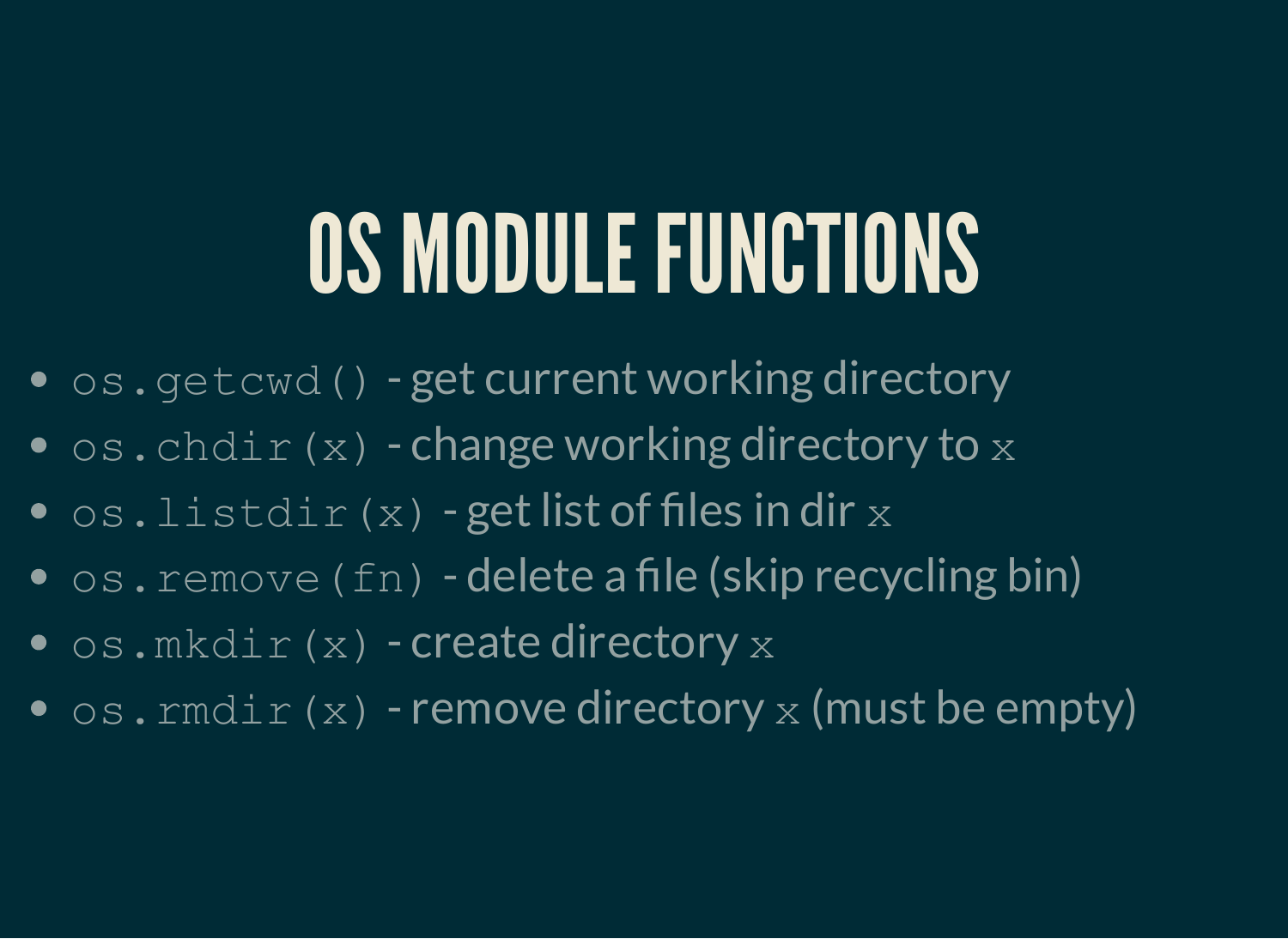## OS MODULE FUNCTIONS

- $os.getcd()$  get current working directory
- $\bullet$  os.chdir(x) change working directory to x
- $\bullet$  os.listdir(x) get list of files in dir x
- $\bullet$  os. remove (fn) delete a file (skip recycling bin)
- $\bullet$  os.mkdir(x) create directory x
- $\bullet$  os. rmdir(x) remove directory x (must be empty)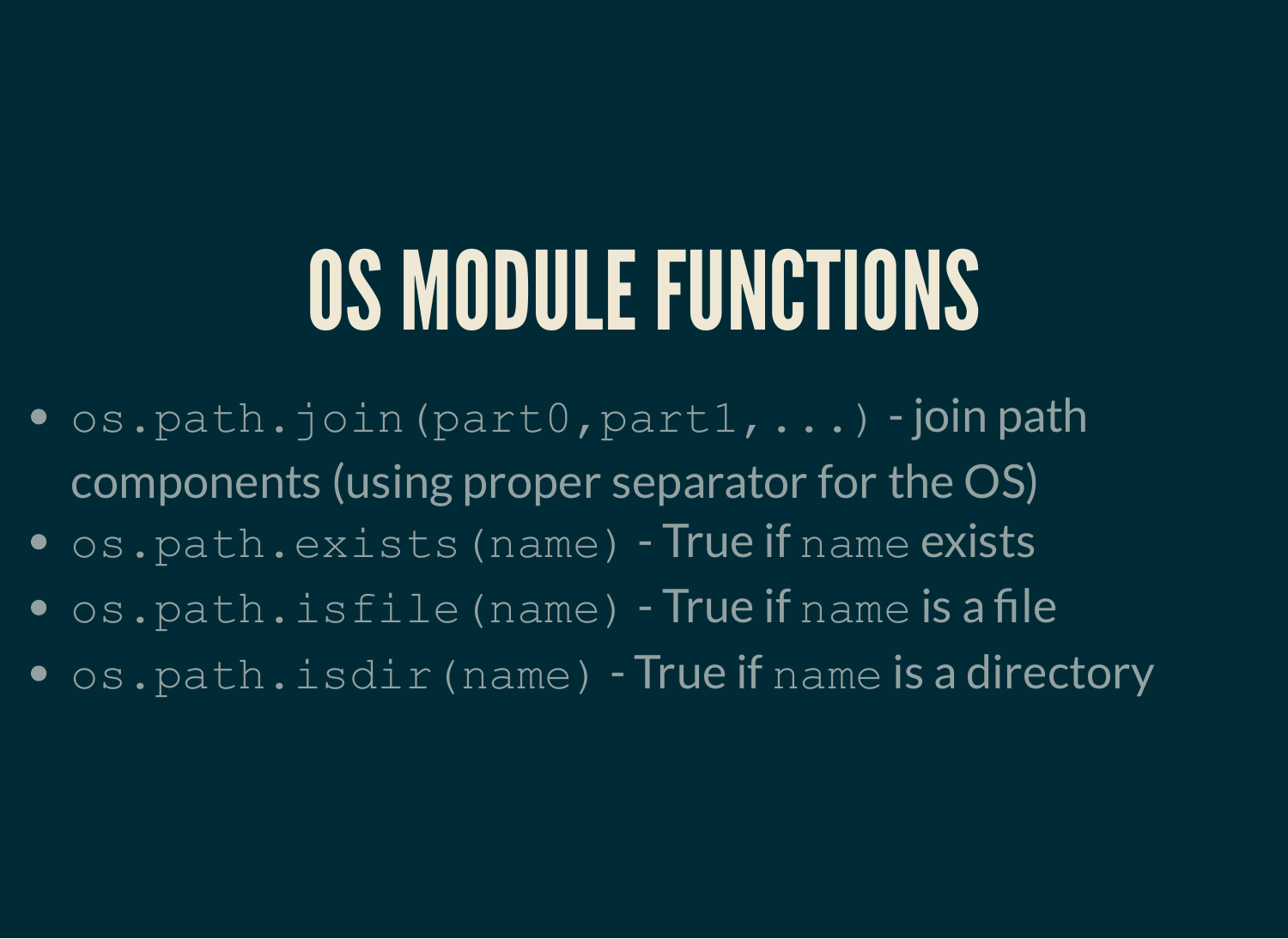### OS MODULE FUNCTIONS

- $\bullet$  os.path.join(part0,part1,...) -join path components (using proper separator for the OS)
- os.path.exists(name) True if name exists
- os.path.isfile(name) True if name is a file
- os.path.isdir(name) True if name is a directory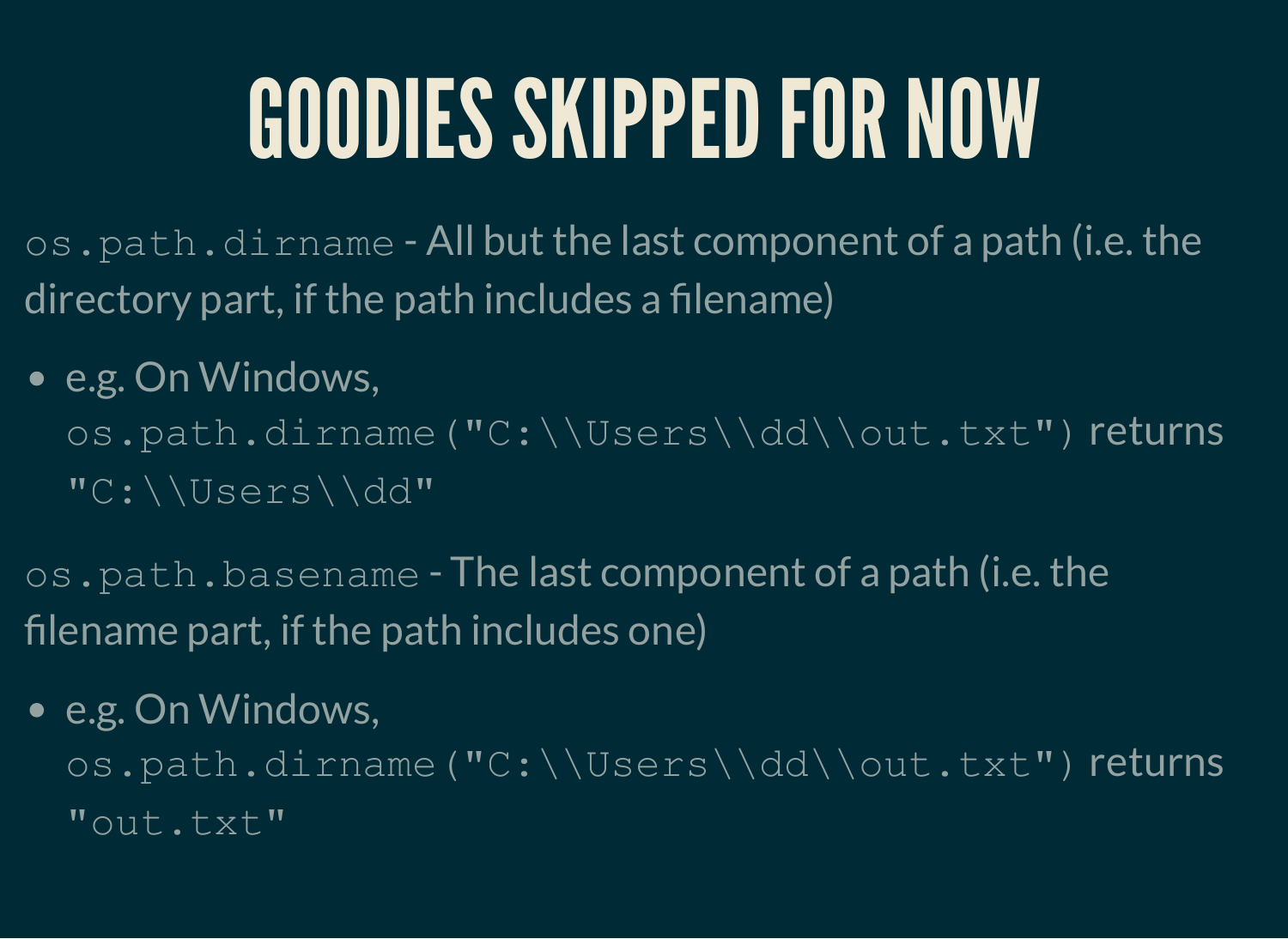# GOODIES SKIPPED FOR NOW

os.path.dirname - All but the last component of a path (i.e. the directory part, if the path includes a filename)

#### • e.g. On Windows,

os.path.dirname("C:\\Users\\dd\\out.txt") returns "C:\\Users\\dd"

os.path.basename - The last component of a path (i.e. the filename part, if the path includes one)

#### • e.g. On Windows,

os.path.dirname("C:\\Users\\dd\\out.txt") returns "out.txt"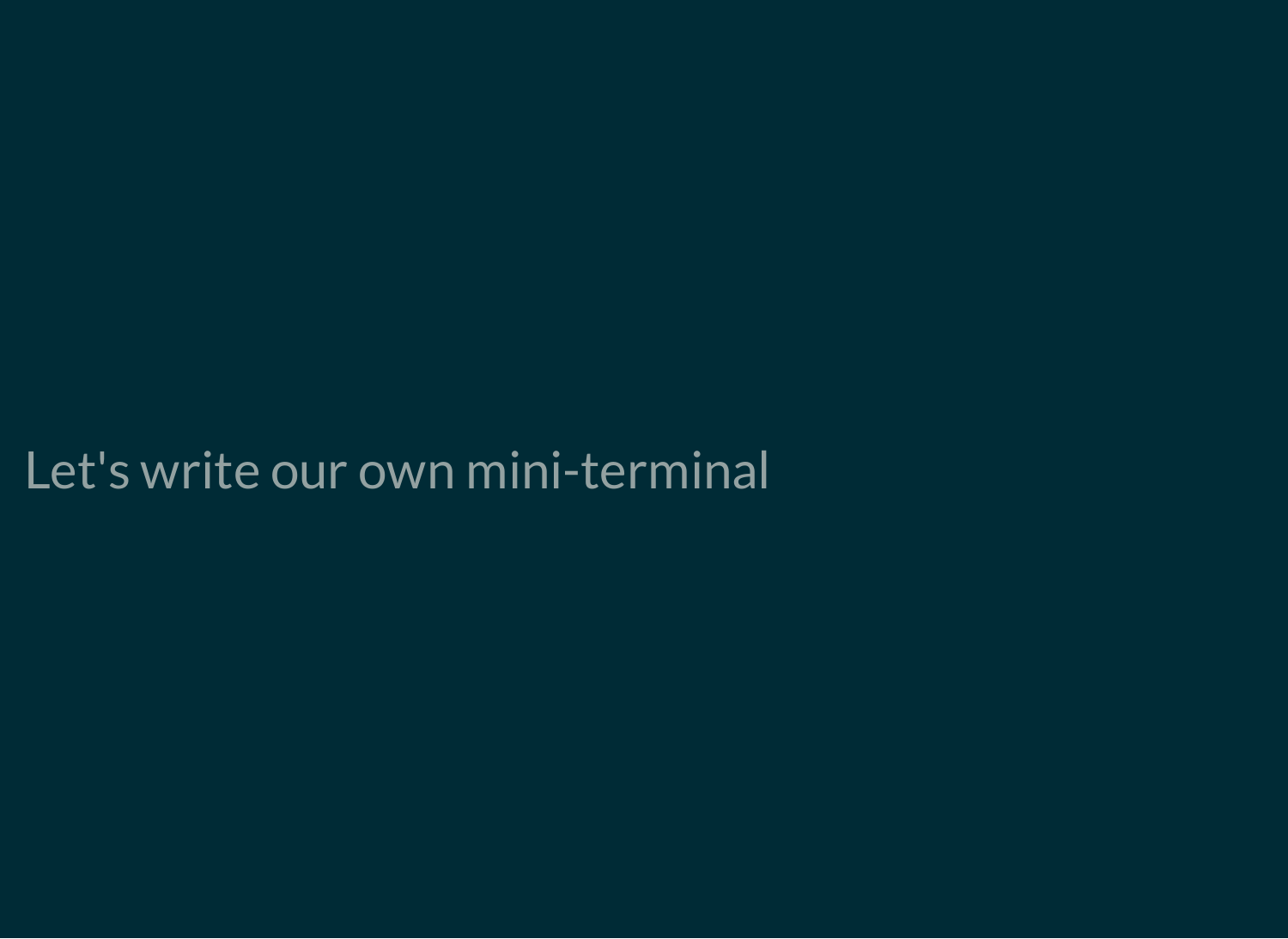#### Let's write our own mini-terminal